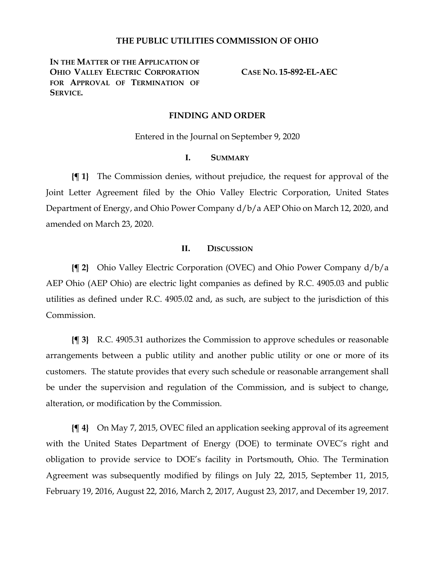### **THE PUBLIC UTILITIES COMMISSION OF OHIO**

**IN THE MATTER OF THE APPLICATION OF OHIO VALLEY ELECTRIC CORPORATION**  FOR APPROVAL OF TERMINATION OF **SERVICE.**

**CASE NO. 15-892-EL-AEC**

#### **FINDING AND ORDER**

Entered in the Journal on September 9, 2020

## **I. SUMMARY**

**{¶ 1}** The Commission denies, without prejudice, the request for approval of the Joint Letter Agreement filed by the Ohio Valley Electric Corporation, United States Department of Energy, and Ohio Power Company d/b/a AEP Ohio on March 12, 2020, and amended on March 23, 2020.

#### **II. DISCUSSION**

**{¶ 2}** Ohio Valley Electric Corporation (OVEC) and Ohio Power Company d/b/a AEP Ohio (AEP Ohio) are electric light companies as defined by R.C. 4905.03 and public utilities as defined under R.C. 4905.02 and, as such, are subject to the jurisdiction of this Commission.

**{¶ 3}** R.C. 4905.31 authorizes the Commission to approve schedules or reasonable arrangements between a public utility and another public utility or one or more of its customers. The statute provides that every such schedule or reasonable arrangement shall be under the supervision and regulation of the Commission, and is subject to change, alteration, or modification by the Commission.

**{¶ 4}** On May 7, 2015, OVEC filed an application seeking approval of its agreement with the United States Department of Energy (DOE) to terminate OVEC's right and obligation to provide service to DOE's facility in Portsmouth, Ohio. The Termination Agreement was subsequently modified by filings on July 22, 2015, September 11, 2015, February 19, 2016, August 22, 2016, March 2, 2017, August 23, 2017, and December 19, 2017.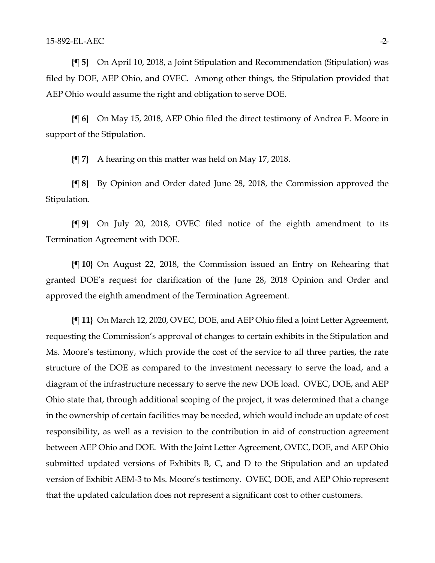**{¶ 5}** On April 10, 2018, a Joint Stipulation and Recommendation (Stipulation) was filed by DOE, AEP Ohio, and OVEC. Among other things, the Stipulation provided that AEP Ohio would assume the right and obligation to serve DOE.

**{¶ 6}** On May 15, 2018, AEP Ohio filed the direct testimony of Andrea E. Moore in support of the Stipulation.

**{¶ 7}** A hearing on this matter was held on May 17, 2018.

**{¶ 8}** By Opinion and Order dated June 28, 2018, the Commission approved the Stipulation.

**{¶ 9}** On July 20, 2018, OVEC filed notice of the eighth amendment to its Termination Agreement with DOE.

**{¶ 10}** On August 22, 2018, the Commission issued an Entry on Rehearing that granted DOE's request for clarification of the June 28, 2018 Opinion and Order and approved the eighth amendment of the Termination Agreement.

**{¶ 11}** On March 12, 2020, OVEC, DOE, and AEP Ohio filed a Joint Letter Agreement, requesting the Commission's approval of changes to certain exhibits in the Stipulation and Ms. Moore's testimony, which provide the cost of the service to all three parties, the rate structure of the DOE as compared to the investment necessary to serve the load, and a diagram of the infrastructure necessary to serve the new DOE load. OVEC, DOE, and AEP Ohio state that, through additional scoping of the project, it was determined that a change in the ownership of certain facilities may be needed, which would include an update of cost responsibility, as well as a revision to the contribution in aid of construction agreement between AEP Ohio and DOE. With the Joint Letter Agreement, OVEC, DOE, and AEP Ohio submitted updated versions of Exhibits B, C, and D to the Stipulation and an updated version of Exhibit AEM-3 to Ms. Moore's testimony. OVEC, DOE, and AEP Ohio represent that the updated calculation does not represent a significant cost to other customers.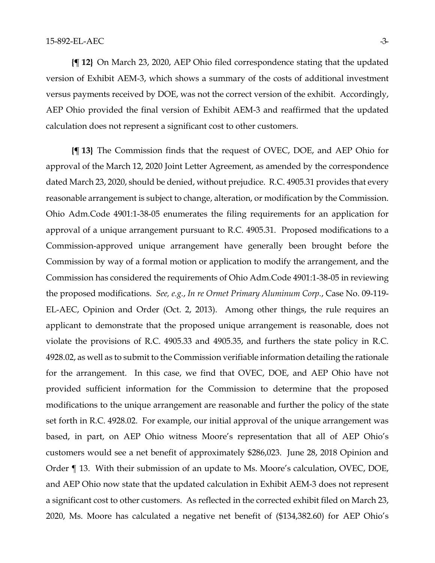**{¶ 12}** On March 23, 2020, AEP Ohio filed correspondence stating that the updated version of Exhibit AEM-3, which shows a summary of the costs of additional investment versus payments received by DOE, was not the correct version of the exhibit. Accordingly, AEP Ohio provided the final version of Exhibit AEM-3 and reaffirmed that the updated calculation does not represent a significant cost to other customers.

**{¶ 13}** The Commission finds that the request of OVEC, DOE, and AEP Ohio for approval of the March 12, 2020 Joint Letter Agreement, as amended by the correspondence dated March 23, 2020, should be denied, without prejudice. R.C. 4905.31 provides that every reasonable arrangement is subject to change, alteration, or modification by the Commission. Ohio Adm.Code 4901:1-38-05 enumerates the filing requirements for an application for approval of a unique arrangement pursuant to R.C. 4905.31. Proposed modifications to a Commission-approved unique arrangement have generally been brought before the Commission by way of a formal motion or application to modify the arrangement, and the Commission has considered the requirements of Ohio Adm.Code 4901:1-38-05 in reviewing the proposed modifications. *See, e.g.*, *In re Ormet Primary Aluminum Corp.*, Case No. 09-119- EL-AEC, Opinion and Order (Oct. 2, 2013). Among other things, the rule requires an applicant to demonstrate that the proposed unique arrangement is reasonable, does not violate the provisions of R.C. 4905.33 and 4905.35, and furthers the state policy in R.C. 4928.02, as well as to submit to the Commission verifiable information detailing the rationale for the arrangement. In this case, we find that OVEC, DOE, and AEP Ohio have not provided sufficient information for the Commission to determine that the proposed modifications to the unique arrangement are reasonable and further the policy of the state set forth in R.C. 4928.02. For example, our initial approval of the unique arrangement was based, in part, on AEP Ohio witness Moore's representation that all of AEP Ohio's customers would see a net benefit of approximately \$286,023. June 28, 2018 Opinion and Order ¶ 13. With their submission of an update to Ms. Moore's calculation, OVEC, DOE, and AEP Ohio now state that the updated calculation in Exhibit AEM-3 does not represent a significant cost to other customers. As reflected in the corrected exhibit filed on March 23, 2020, Ms. Moore has calculated a negative net benefit of (\$134,382.60) for AEP Ohio's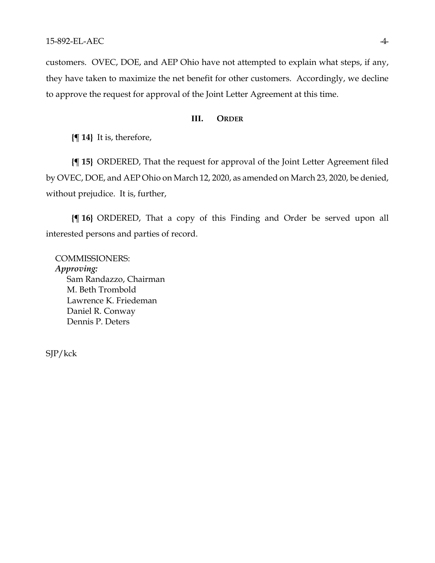customers. OVEC, DOE, and AEP Ohio have not attempted to explain what steps, if any, they have taken to maximize the net benefit for other customers. Accordingly, we decline to approve the request for approval of the Joint Letter Agreement at this time.

## **III. ORDER**

**{¶ 14}** It is, therefore,

**{¶ 15}** ORDERED, That the request for approval of the Joint Letter Agreement filed by OVEC, DOE, and AEP Ohio on March 12, 2020, as amended on March 23, 2020, be denied, without prejudice. It is, further,

**{¶ 16}** ORDERED, That a copy of this Finding and Order be served upon all interested persons and parties of record.

COMMISSIONERS: *Approving:*  Sam Randazzo, Chairman M. Beth Trombold Lawrence K. Friedeman Daniel R. Conway Dennis P. Deters

SJP/kck